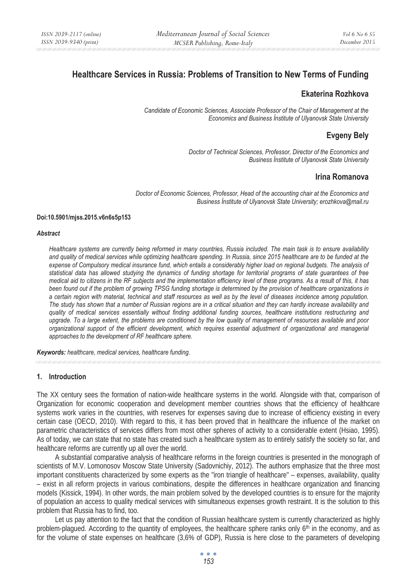# **Healthcare Services in Russia: Problems of Transition to New Terms of Funding**

## **Ekaterina Rozhkova**

*Candidate of Economic Sciences, Associate Professor of the Chair of Management at the Economics and Business ønstitute of Ulyanovsk State University* 

# **Evgeny Bely**

*Doctor of Technical Sciences, Professor, Director of the Economics and Business ønstitute of Ulyanovsk State University* 

## **Irina Romanova**

*Doctor of Economic Sciences, Professor, Head of the accounting chair at the Economics and Business ønstitute of Ulyanovsk State University; erozhkova@mail.ru* 

#### **Doi:10.5901/mjss.2015.v6n6s5p153**

#### *Abstract*

*Healthcare systems are currently being reformed in many countries, Russia included. The main task is to ensure availability and quality of medical services while optimizing healthcare spending. In Russia, since 2015 healthcare are to be funded at the*  expense of Compulsory medical insurance fund, which entails a considerably higher load on regional budgets. The analysis of *statistical data has allowed studying the dynamics of funding shortage for territorial programs of state guarantees of free medical aid to citizens in the RF subjects and the implementation efficiency level of these programs. As a result of this, it has been found out if the problem of growing TPSG funding shortage is determined by the provision of healthcare organizations in a certain region with material, technical and staff resources as well as by the level of diseases incidence among population. The study has shown that a number of Russian regions are in a critical situation and they can hardly increase availability and quality of medical services essentially without finding additional funding sources, healthcare institutions restructuring and upgrade. To a large extent, the problems are conditioned by the low quality of management of resources available and poor organizational support of the efficient development, which requires essential adjustment of organizational and managerial approaches to the development of RF healthcare sphere.* 

*Keywords: healthcare, medical services, healthcare funding.*

#### **1. Introduction**

The XX century sees the formation of nation-wide healthcare systems in the world. Alongside with that, comparison of Organization for economic cooperation and development member countries shows that the efficiency of healthcare systems work varies in the countries, with reserves for expenses saving due to increase of efficiency existing in every certain case (OECD, 2010). With regard to this, it has been proved that in healthcare the influence of the market on parametric characteristics of services differs from most other spheres of activity to a considerable extent (Hsiao, 1995). As of today, we can state that no state has created such a healthcare system as to entirely satisfy the society so far, and healthcare reforms are currently up all over the world.

A substantial comparative analysis of healthcare reforms in the foreign countries is presented in the monograph of scientists of M.V. Lomonosov Moscow State University (Sadovnichiy, 2012). The authors emphasize that the three most important constituents characterized by some experts as the "iron triangle of healthcare" – expenses, availability, quality – exist in all reform projects in various combinations, despite the differences in healthcare organization and financing models (Kissick, 1994). In other words, the main problem solved by the developed countries is to ensure for the majority of population an access to quality medical services with simultaneous expenses growth restraint. It is the solution to this problem that Russia has to find, too.

Let us pay attention to the fact that the condition of Russian healthcare system is currently characterized as highly problem-plagued. According to the quantity of employees, the healthcare sphere ranks only 6<sup>th</sup> in the economy, and as for the volume of state expenses on healthcare (3,6% of GDP), Russia is here close to the parameters of developing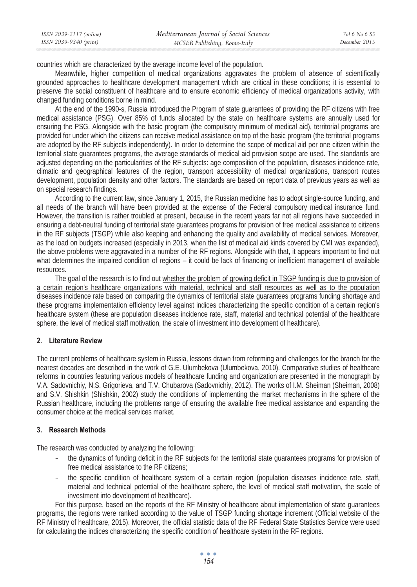| ISSN 2039-2117 (online) | Mediterranean Journal of Social Sciences | Vol 6 No 6 S5 |
|-------------------------|------------------------------------------|---------------|
| ISSN 2039-9340 (print)  | MCSER Publishing, Rome-Italy             | December 2015 |

countries which are characterized by the average income level of the population.

Meanwhile, higher competition of medical organizations aggravates the problem of absence of scientifically grounded approaches to healthcare development management which are critical in these conditions; it is essential to preserve the social constituent of healthcare and to ensure economic efficiency of medical organizations activity, with changed funding conditions borne in mind.

At the end of the 1990-s, Russia introduced the Program of state guarantees of providing the RF citizens with free medical assistance (PSG). Over 85% of funds allocated by the state on healthcare systems are annually used for ensuring the PSG. Alongside with the basic program (the compulsory minimum of medical aid), territorial programs are provided for under which the citizens can receive medical assistance on top of the basic program (the territorial programs are adopted by the RF subjects independently). In order to determine the scope of medical aid per one citizen within the territorial state guarantees programs, the average standards of medical aid provision scope are used. The standards are adjusted depending on the particularities of the RF subjects: age composition of the population, diseases incidence rate, climatic and geographical features of the region, transport accessibility of medical organizations, transport routes development, population density and other factors. The standards are based on report data of previous years as well as on special research findings.

According to the current law, since January 1, 2015, the Russian medicine has to adopt single-source funding, and all needs of the branch will have been provided at the expense of the Federal compulsory medical insurance fund. However, the transition is rather troubled at present, because in the recent years far not all regions have succeeded in ensuring a debt-neutral funding of territorial state guarantees programs for provision of free medical assistance to citizens in the RF subjects (TSGP) while also keeping and enhancing the quality and availability of medical services. Moreover, as the load on budgets increased (especially in 2013, when the list of medical aid kinds covered by CMI was expanded), the above problems were aggravated in a number of the RF regions. Alongside with that, it appears important to find out what determines the impaired condition of regions – it could be lack of financing or inefficient management of available resources.

The goal of the research is to find out whether the problem of growing deficit in TSGP funding is due to provision of a certain region's healthcare organizations with material, technical and staff resources as well as to the population diseases incidence rate based on comparing the dynamics of territorial state guarantees programs funding shortage and these programs implementation efficiency level against indices characterizing the specific condition of a certain region's healthcare system (these are population diseases incidence rate, staff, material and technical potential of the healthcare sphere, the level of medical staff motivation, the scale of investment into development of healthcare).

## **2. Literature Review**

The current problems of healthcare system in Russia, lessons drawn from reforming and challenges for the branch for the nearest decades are described in the work of G.E. Ulumbekova (Ulumbekova, 2010). Comparative studies of healthcare reforms in countries featuring various models of healthcare funding and organization are presented in the monograph by V.A. Sadovnichiy, N.S. Grigorieva, and T.V. Chubarova (Sadovnichiy, 2012). The works of I.M. Sheiman (Sheiman, 2008) and S.V. Shishkin (Shishkin, 2002) study the conditions of implementing the market mechanisms in the sphere of the Russian healthcare, including the problems range of ensuring the available free medical assistance and expanding the consumer choice at the medical services market.

### **3. Research Methods**

The research was conducted by analyzing the following:

- the dynamics of funding deficit in the RF subjects for the territorial state guarantees programs for provision of free medical assistance to the RF citizens;
- the specific condition of healthcare system of a certain region (population diseases incidence rate, staff, material and technical potential of the healthcare sphere, the level of medical staff motivation, the scale of investment into development of healthcare).

For this purpose, based on the reports of the RF Ministry of healthcare about implementation of state guarantees programs, the regions were ranked according to the value of TSGP funding shortage increment (Official website of the RF Ministry of healthcare, 2015). Moreover, the official statistic data of the RF Federal State Statistics Service were used for calculating the indices characterizing the specific condition of healthcare system in the RF regions.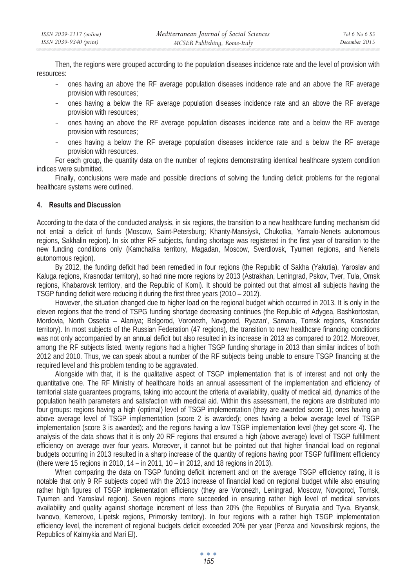Then, the regions were grouped according to the population diseases incidence rate and the level of provision with resources:

- ones having an above the RF average population diseases incidence rate and an above the RF average provision with resources;
- ones having a below the RF average population diseases incidence rate and an above the RF average provision with resources;
- ones having an above the RF average population diseases incidence rate and a below the RF average provision with resources;
- ones having a below the RF average population diseases incidence rate and a below the RF average provision with resources.

For each group, the quantity data on the number of regions demonstrating identical healthcare system condition indices were submitted.

Finally, conclusions were made and possible directions of solving the funding deficit problems for the regional healthcare systems were outlined.

## **4. Results and Discussion**

According to the data of the conducted analysis, in six regions, the transition to a new healthcare funding mechanism did not entail a deficit of funds (Moscow, Saint-Petersburg; Khanty-Mansiysk, Chukotka, Yamalo-Nenets autonomous regions, Sakhalin region). In six other RF subjects, funding shortage was registered in the first year of transition to the new funding conditions only (Kamchatka territory, Magadan, Moscow, Sverdlovsk, Tyumen regions, and Nenets autonomous region).

By 2012, the funding deficit had been remedied in four regions (the Republic of Sakha (Yakutia), Yaroslav and Kaluga regions, Krasnodar territory), so had nine more regions by 2013 (Astrakhan, Leningrad, Pskov, Tver, Tula, Omsk regions, Khabarovsk territory, and the Republic of Komi). It should be pointed out that almost all subjects having the TSGP funding deficit were reducing it during the first three years (2010 – 2012).

However, the situation changed due to higher load on the regional budget which occurred in 2013. It is only in the eleven regions that the trend of TSPG funding shortage decreasing continues (the Republic of Adygea, Bashkortostan, Mordovia, North Ossetia – Alaniya; Belgorod, Voronezh, Novgorod, Ryazan', Samara, Tomsk regions, Krasnodar territory). In most subjects of the Russian Federation (47 regions), the transition to new healthcare financing conditions was not only accompanied by an annual deficit but also resulted in its increase in 2013 as compared to 2012. Moreover, among the RF subjects listed, twenty regions had a higher TSGP funding shortage in 2013 than similar indices of both 2012 and 2010. Thus, we can speak about a number of the RF subjects being unable to ensure TSGP financing at the required level and this problem tending to be aggravated.

Alongside with that, it is the qualitative aspect of TSGP implementation that is of interest and not only the quantitative one. The RF Ministry of healthcare holds an annual assessment of the implementation and efficiency of territorial state guarantees programs, taking into account the criteria of availability, quality of medical aid, dynamics of the population health parameters and satisfaction with medical aid. Within this assessment, the regions are distributed into four groups: regions having a high (optimal) level of TSGP implementation (they are awarded score 1); ones having an above average level of TSGP implementation (score 2 is awarded); ones having a below average level of TSGP implementation (score 3 is awarded); and the regions having a low TSGP implementation level (they get score 4). The analysis of the data shows that it is only 20 RF regions that ensured a high (above average) level of TSGP fulfillment efficiency on average over four years. Moreover, it cannot but be pointed out that higher financial load on regional budgets occurring in 2013 resulted in a sharp increase of the quantity of regions having poor TSGP fulfillment efficiency (there were 15 regions in 2010, 14 – in 2011, 10 – in 2012, and 18 regions in 2013).

When comparing the data on TSGP funding deficit increment and on the average TSGP efficiency rating, it is notable that only 9 RF subjects coped with the 2013 increase of financial load on regional budget while also ensuring rather high figures of TSGP implementation efficiency (they are Voronezh, Leningrad, Moscow, Novgorod, Tomsk, Tyumen and Yaroslavl region). Seven regions more succeeded in ensuring rather high level of medical services availability and quality against shortage increment of less than 20% (the Republics of Buryatia and Tyva, Bryansk, Ivanovo, Kemerovo, Lipetsk regions, Primorsky territory). In four regions with a rather high TSGP implementation efficiency level, the increment of regional budgets deficit exceeded 20% per year (Penza and Novosibirsk regions, the Republics of Kalmykia and Mari El).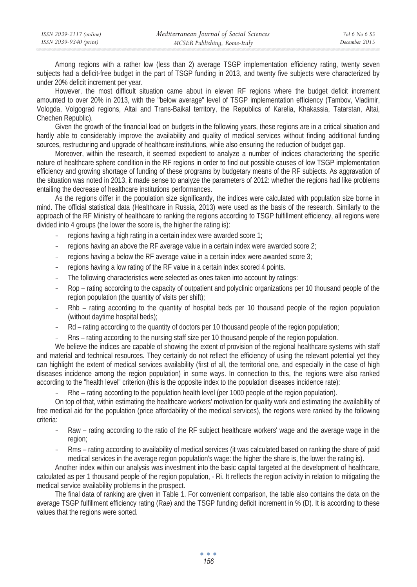Among regions with a rather low (less than 2) average TSGP implementation efficiency rating, twenty seven subjects had a deficit-free budget in the part of TSGP funding in 2013, and twenty five subjects were characterized by under 20% deficit increment per year.

However, the most difficult situation came about in eleven RF regions where the budget deficit increment amounted to over 20% in 2013, with the "below average" level of TSGP implementation efficiency (Tambov, Vladimir, Vologda, Volgograd regions, Altai and Trans-Baikal territory, the Republics of Karelia, Khakassia, Tatarstan, Altai, Chechen Republic).

Given the growth of the financial load on budgets in the following years, these regions are in a critical situation and hardly able to considerably improve the availability and quality of medical services without finding additional funding sources, restructuring and upgrade of healthcare institutions, while also ensuring the reduction of budget gap.

Moreover, within the research, it seemed expedient to analyze a number of indices characterizing the specific nature of healthcare sphere condition in the RF regions in order to find out possible causes of low TSGP implementation efficiency and growing shortage of funding of these programs by budgetary means of the RF subjects. As aggravation of the situation was noted in 2013, it made sense to analyze the parameters of 2012: whether the regions had like problems entailing the decrease of healthcare institutions performances.

As the regions differ in the population size significantly, the indices were calculated with population size borne in mind. The official statistical data (Healthcare in Russia, 2013) were used as the basis of the research. Similarly to the approach of the RF Ministry of healthcare to ranking the regions according to TSGP fulfillment efficiency, all regions were divided into 4 groups (the lower the score is, the higher the rating is):

- regions having a high rating in a certain index were awarded score 1;
- regions having an above the RF average value in a certain index were awarded score 2;
- regions having a below the RF average value in a certain index were awarded score 3;
- regions having a low rating of the RF value in a certain index scored 4 points.
- The following characteristics were selected as ones taken into account by ratings:
- Rop rating according to the capacity of outpatient and polyclinic organizations per 10 thousand people of the region population (the quantity of visits per shift);
- Rhb rating according to the quantity of hospital beds per 10 thousand people of the region population (without daytime hospital beds);
- Rd rating according to the quantity of doctors per 10 thousand people of the region population;
- Rns rating according to the nursing staff size per 10 thousand people of the region population.

We believe the indices are capable of showing the extent of provision of the regional healthcare systems with staff and material and technical resources. They certainly do not reflect the efficiency of using the relevant potential yet they can highlight the extent of medical services availability (first of all, the territorial one, and especially in the case of high diseases incidence among the region population) in some ways. In connection to this, the regions were also ranked according to the "health level" criterion (this is the opposite index to the population diseases incidence rate):

Rhe – rating according to the population health level (per 1000 people of the region population).

On top of that, within estimating the healthcare workers' motivation for quality work and estimating the availability of free medical aid for the population (price affordability of the medical services), the regions were ranked by the following criteria:

- Raw rating according to the ratio of the RF subject healthcare workers' wage and the average wage in the region;
- Rms rating according to availability of medical services (it was calculated based on ranking the share of paid medical services in the average region population's wage: the higher the share is, the lower the rating is).

Another index within our analysis was investment into the basic capital targeted at the development of healthcare, calculated as per 1 thousand people of the region population, - Ri. It reflects the region activity in relation to mitigating the medical service availability problems in the prospect.

The final data of ranking are given in Table 1. For convenient comparison, the table also contains the data on the average TSGP fulfillment efficiency rating (Rae) and the TSGP funding deficit increment in % (D). It is according to these values that the regions were sorted.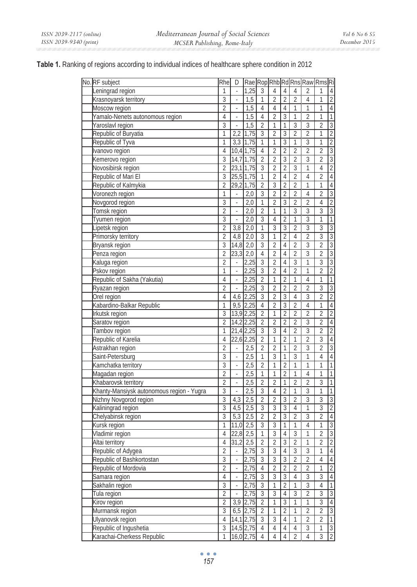#### **Table 1.** Ranking of regions according to individual indices of healthcare sphere condition in 2012

| No. RF subject                                  | Rhe            | D                 | Rae Rop                 |                |                |                |                |                | RhbRdRnsRawRmsRi        |                                           |
|-------------------------------------------------|----------------|-------------------|-------------------------|----------------|----------------|----------------|----------------|----------------|-------------------------|-------------------------------------------|
| Leningrad region                                | 1              | L,                | 1,25                    | 3              | 4              | 4              | 4              | $\sqrt{2}$     | 1                       | $\overline{4}$                            |
| Krasnoyarsk territory                           | 3              | $\overline{a}$    | $\overline{1,5}$        | $\mathbf{1}$   | $\overline{2}$ | $\overline{2}$ | $\overline{2}$ | $\overline{4}$ | 1                       | $\overline{2}$                            |
| Moscow region                                   | $\overline{2}$ | ÷,                | 1,5                     | $\overline{4}$ | $\overline{4}$ | 4              | 1              | $\overline{1}$ | $\overline{1}$          | $\overline{4}$                            |
| Yamalo-Nenets autonomous region                 | $\overline{4}$ | L,                | 1,5                     | $\overline{4}$ | $\overline{2}$ | 3              | $\mathbf{1}$   | $\overline{2}$ | $\overline{\mathbf{1}}$ | $\overline{1}$                            |
| Yaroslavl region                                | 3              | l,                | 1,5                     | $\overline{2}$ | 1              | 1              | $\overline{3}$ | $\overline{3}$ | $\overline{2}$          |                                           |
| Republic of Buryatia                            | 1              | 2,2               | 1,75                    | 3              | $\overline{2}$ | $\overline{3}$ | $\overline{2}$ | $\overline{2}$ | 1                       | $\frac{3}{2}$                             |
| Republic of Tyva                                | 1              | 3,3               | 1,75                    | 1              | 1              | $\overline{3}$ | 1              | $\overline{3}$ | 1                       |                                           |
| Ivanovo region                                  | $\overline{4}$ |                   | $10,4$ 1,75             | $\overline{4}$ | $\overline{2}$ | $\overline{2}$ | $\overline{2}$ | $\overline{2}$ | $\overline{2}$          |                                           |
| Kemerovo region                                 | $\overline{3}$ |                   | $14,7$ 1,75             | $\overline{2}$ | $\overline{2}$ | $\overline{3}$ | $\overline{2}$ | $\overline{3}$ | $\overline{2}$          | $\frac{2}{3}$ $\frac{3}{2}$ $\frac{2}{4}$ |
| Novosibirsk region                              | $\overline{2}$ |                   | 23,1 1,75               | 3              | $\overline{2}$ | $\overline{2}$ | $\overline{3}$ | 1              | 4                       |                                           |
| Republic of Mari El                             | $\overline{3}$ |                   | $25,5$ 1,75             | $\overline{1}$ | $\overline{2}$ | $\overline{4}$ | $\overline{2}$ | $\overline{4}$ | $\overline{2}$          |                                           |
| Republic of Kalmykia                            | $\overline{c}$ |                   | $29,2$ 1,75             | $\overline{2}$ | $\overline{3}$ | $\overline{2}$ | $\overline{2}$ | 1              | 1                       |                                           |
| Voronezh region                                 | 1              | ÷,                | 2,0                     | $\overline{3}$ | $\overline{2}$ | $\overline{2}$ | $\overline{2}$ | $\overline{4}$ | $\overline{2}$          | $\frac{4}{3}$                             |
| Novgorod region                                 | 3              | L,                |                         | $\mathbf{1}$   | $\overline{2}$ | 3              | $\overline{2}$ | $\overline{2}$ | $\overline{4}$          |                                           |
|                                                 |                |                   | 2,0                     |                |                |                |                |                | 3                       | $\frac{2}{3}$                             |
| Tomsk region                                    | $\overline{2}$ | ÷                 | 2,0                     | $\overline{2}$ | 1              | 1              | 3              | $\overline{3}$ |                         |                                           |
| Tyumen region                                   | 3              | ÷                 | 2,0                     | $\overline{3}$ | $\overline{4}$ | $\overline{2}$ | $\overline{1}$ | $\overline{3}$ | $\overline{1}$          |                                           |
| Lipetsk region                                  | $\overline{2}$ | 3,8               | 2,0                     | 1              | $\overline{3}$ | $\overline{3}$ | $\overline{2}$ | $\overline{3}$ | 3                       | $\overline{3}$                            |
| Primorsky territory                             | $\overline{2}$ | 4,8               | 2,0                     | $\sqrt{3}$     | $\mathbf{1}$   | $\overline{2}$ | $\overline{4}$ | $\overline{c}$ | $\overline{3}$          | $\frac{3}{3}$                             |
| Bryansk region                                  | $\overline{3}$ | $14,8$ 2,0        |                         | $\overline{3}$ | $\overline{2}$ | $\overline{4}$ | $\overline{2}$ | $\overline{3}$ | $\overline{2}$          |                                           |
| Penza region                                    | $\overline{2}$ | $\overline{23,3}$ | 2,0                     | $\overline{4}$ | $\overline{2}$ | $\overline{4}$ | $\overline{2}$ | $\overline{3}$ | $\overline{2}$          | $\overline{3}$                            |
| Kaluga region                                   | $\overline{2}$ | ÷,                | 2,25                    | $\overline{3}$ | $\overline{2}$ | 4              | $\overline{3}$ | 1              | $\overline{3}$          | $rac{3}{2}$                               |
| Pskov region                                    | 1              | L,                | 2,25                    | $\overline{3}$ | $\overline{2}$ | $\overline{4}$ | $\overline{2}$ | 1              | $\overline{2}$          |                                           |
| Republic of Sakha (Yakutia)                     | $\overline{4}$ | L,                | 2,25                    | $\overline{2}$ | 1              | $\overline{2}$ | 1              | $\overline{4}$ | 1                       | $\overline{1}$                            |
| Ryazan region                                   | $\overline{2}$ | L,                | 2,25                    | $\overline{3}$ | $\overline{2}$ | $\overline{2}$ | $\overline{2}$ | $\overline{2}$ | $\overline{3}$          |                                           |
| Orel region                                     | $\overline{4}$ | 4,6               | 2,25                    | $\overline{3}$ | $\overline{2}$ | $\overline{3}$ | $\overline{4}$ | $\overline{3}$ | $\overline{c}$          |                                           |
| Kabardino-Balkar Republic                       | 1              | 9,5               | 2,25                    | $\overline{4}$ | $\overline{2}$ | $\overline{3}$ | $\overline{2}$ | $\overline{4}$ | $\overline{1}$          | $\frac{3}{2}$                             |
| <b>Irkutsk region</b>                           | 3              |                   | $13,9$ 2,25             | $\overline{2}$ | $\mathbf{1}$   | $\overline{2}$ | $\overline{2}$ | $\overline{2}$ | $\overline{c}$          | $\overline{2}$                            |
| Saratov region                                  | $\overline{2}$ |                   | 14,2 2,25               | $\overline{2}$ | $\overline{2}$ | $\overline{2}$ | $\overline{2}$ | $\overline{3}$ | $\overline{c}$          | $\overline{4}$                            |
| Tambov region                                   | 1              |                   | $21,4$ 2,25             | $\overline{3}$ | $\overline{3}$ | $\overline{4}$ | $\overline{2}$ | $\overline{3}$ | $\overline{2}$          | $\overline{2}$                            |
| Republic of Karelia                             | $\overline{4}$ |                   | $22,6$ <sub>2</sub> ,25 | $\overline{2}$ | $\overline{1}$ | $\overline{2}$ | 1              | $\overline{c}$ | $\overline{3}$          |                                           |
| Astrakhan region                                | $\overline{2}$ | ÷                 | 2,5                     | $\overline{2}$ | $\overline{2}$ | $\mathbf{1}$   | $\overline{2}$ | 3              | $\overline{2}$          | $\frac{4}{3}$                             |
| Saint-Petersburg                                | 3              | ä,                | 2,5                     | $\overline{1}$ | $\overline{3}$ | $\overline{1}$ | $\overline{3}$ | 1              | $\overline{4}$          | $\overline{4}$                            |
| Kamchatka territory                             | 3              | L,                | 2,5                     | $\overline{2}$ | 1              | $\overline{2}$ | 1              | 1              | 1                       | $\overline{1}$                            |
| Magadan region                                  | $\overline{2}$ | l,                | 2,5                     | $\overline{1}$ | 1              | $\overline{2}$ | $\mathbf{1}$   | $\overline{4}$ | $\mathbf{1}$            | $\overline{\mathbf{1}}$                   |
| Khabarovsk territory                            | $\overline{2}$ | ÷,                | 2,5                     | $\overline{2}$ | $\overline{2}$ | $\overline{1}$ | $\overline{2}$ | $\overline{2}$ | 3                       | $\overline{1}$                            |
| Khanty-Mansiysk autonomous region - Yugra       | 3              | $\blacksquare$    | 2,5                     | $\overline{3}$ | $\overline{4}$ | $\overline{2}$ | 1              | $\overline{3}$ | 1                       | $\overline{1}$                            |
| Nizhny Novgorod region                          | $\overline{3}$ | 4,3               | 2,5                     | $\overline{2}$ | $\overline{2}$ | $\overline{3}$ | $\overline{2}$ | $\overline{3}$ | $\overline{3}$          |                                           |
| Kaliningrad region                              | 3              | 4,5               | 2,5                     | $\overline{3}$ | 3              | $\overline{3}$ | $\overline{4}$ | 1              | $\overline{3}$          | $\frac{3}{2}$                             |
| Chelyabinsk region                              | 3              | 5,3               | 2,5                     | $\overline{2}$ | $\overline{2}$ | $\overline{3}$ | $\overline{2}$ | 3              | $\overline{2}$          |                                           |
| Kursk region                                    | 1              | $11,0$ 2,5        |                         | $\overline{3}$ | 3              | 1              | $\overline{1}$ | $\overline{4}$ | $\overline{1}$          | $\overline{3}$                            |
| Vladimir region                                 | $\overline{4}$ | $22,8$ 2,5        |                         | 1              | $\overline{3}$ | 4              | $\overline{3}$ | 1              | $\overline{2}$          |                                           |
| Altai territory                                 | $\overline{4}$ | 31,2              | 2,5                     | $\overline{2}$ | $\overline{2}$ | 3              | $\overline{2}$ | 1              | $\overline{2}$          | $\frac{3}{2}$                             |
|                                                 | $\overline{2}$ |                   |                         | $\overline{3}$ | $\overline{3}$ | $\overline{4}$ | $\overline{3}$ |                |                         | $\overline{4}$                            |
| Republic of Adygea<br>Republic of Bashkortostan | $\overline{3}$ | ÷.                | 2,75                    | $\overline{3}$ | $\overline{3}$ | $\overline{3}$ | $\overline{2}$ | 3              | 1<br>$\overline{4}$     | $\overline{4}$                            |
|                                                 |                | ł                 | 2,75                    |                |                |                |                | $\overline{2}$ |                         |                                           |
| Republic of Mordovia                            | $\overline{c}$ |                   | 2,75                    | 4              | $\overline{2}$ | $\overline{c}$ | $\sqrt{2}$     | $\overline{2}$ | 1                       | $\overline{2}$                            |
| Samara region                                   | $\overline{4}$ | L,                | 2,75                    | $\sqrt{3}$     | $\overline{3}$ | 3              | 4              | $\overline{3}$ | $\overline{3}$          | $\overline{4}$                            |
| Sakhalin region                                 | $\overline{3}$ | ÷                 | 2,75                    | $\sqrt{3}$     | 1              | $\overline{2}$ | 1              | $\sqrt{3}$     | $\sqrt{4}$              | $\vert$ 1                                 |
| Tula region                                     | $\overline{2}$ |                   | 2,75                    | $\overline{3}$ | 3              | $\overline{4}$ | 3              | $\overline{2}$ | $\overline{3}$          | $\overline{3}$                            |
| Kirov region                                    | $\overline{2}$ | 3,9               | 2,75                    | $\overline{2}$ | $\mathbf{1}$   | 3              | $\mathbf{1}$   | $\mathbf{1}$   | $\overline{3}$          | $\overline{4}$                            |
| Murmansk region                                 | $\overline{3}$ |                   | $6,5$ 2,75              | $\overline{c}$ | 1              | $\sqrt{2}$     | 1              | $\overline{c}$ | $\overline{2}$          | $\frac{3}{1}$                             |
| Ulyanovsk region                                | 4              |                   | $14,1$ 2,75             | 3              | 3              | 4              | 1              | $\overline{2}$ | $\overline{2}$          |                                           |
| Republic of Ingushetia                          | $\overline{3}$ |                   | $14,5$ <sub>2</sub> ,75 | $\overline{4}$ | 4              | $\overline{4}$ | $\overline{4}$ | $\overline{3}$ | 1                       | $\overline{3}$                            |
| Karachai-Cherkess Republic                      | 1              |                   | 16,02,75                | 4              | 4              | $\overline{4}$ | $\overline{2}$ | 4              | 3                       | $\overline{2}$                            |

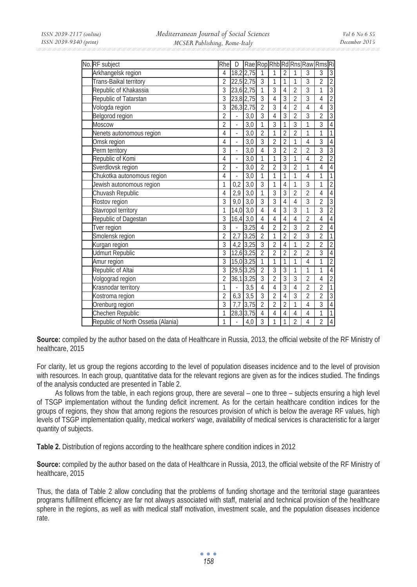| No. RF subject           | Rhel                                                                                                                                                                                                                                                                                                                                                                                                                                                                     | D                                                                                                               |     |                                                                                                                                                                                |                                                                                                                                                                                                                                                                                                                                                                                                                                                                  |                                                                                                                                                                                                                                                    |                                                                                                                                                                                                                                     |                                                                                                                                                                                                           |                                                                                                                                                                                                                                |                                                                                                                                                                                                                                                                                                                                                                     |
|--------------------------|--------------------------------------------------------------------------------------------------------------------------------------------------------------------------------------------------------------------------------------------------------------------------------------------------------------------------------------------------------------------------------------------------------------------------------------------------------------------------|-----------------------------------------------------------------------------------------------------------------|-----|--------------------------------------------------------------------------------------------------------------------------------------------------------------------------------|------------------------------------------------------------------------------------------------------------------------------------------------------------------------------------------------------------------------------------------------------------------------------------------------------------------------------------------------------------------------------------------------------------------------------------------------------------------|----------------------------------------------------------------------------------------------------------------------------------------------------------------------------------------------------------------------------------------------------|-------------------------------------------------------------------------------------------------------------------------------------------------------------------------------------------------------------------------------------|-----------------------------------------------------------------------------------------------------------------------------------------------------------------------------------------------------------|--------------------------------------------------------------------------------------------------------------------------------------------------------------------------------------------------------------------------------|---------------------------------------------------------------------------------------------------------------------------------------------------------------------------------------------------------------------------------------------------------------------------------------------------------------------------------------------------------------------|
| Arkhangelsk region       | 4                                                                                                                                                                                                                                                                                                                                                                                                                                                                        |                                                                                                                 |     | $\mathbf{1}$                                                                                                                                                                   | 1                                                                                                                                                                                                                                                                                                                                                                                                                                                                | $\overline{2}$                                                                                                                                                                                                                                     | 1                                                                                                                                                                                                                                   | 3                                                                                                                                                                                                         | 3                                                                                                                                                                                                                              | $\overline{3}$                                                                                                                                                                                                                                                                                                                                                      |
|                          |                                                                                                                                                                                                                                                                                                                                                                                                                                                                          |                                                                                                                 |     |                                                                                                                                                                                | 1                                                                                                                                                                                                                                                                                                                                                                                                                                                                | 1                                                                                                                                                                                                                                                  | 1                                                                                                                                                                                                                                   |                                                                                                                                                                                                           |                                                                                                                                                                                                                                | $\overline{2}$                                                                                                                                                                                                                                                                                                                                                      |
| Republic of Khakassia    | 3                                                                                                                                                                                                                                                                                                                                                                                                                                                                        |                                                                                                                 |     | $\mathbf{1}$                                                                                                                                                                   | 3                                                                                                                                                                                                                                                                                                                                                                                                                                                                | $\overline{4}$                                                                                                                                                                                                                                     | $\overline{2}$                                                                                                                                                                                                                      |                                                                                                                                                                                                           | 1                                                                                                                                                                                                                              | $\overline{3}$                                                                                                                                                                                                                                                                                                                                                      |
|                          | 3                                                                                                                                                                                                                                                                                                                                                                                                                                                                        |                                                                                                                 |     |                                                                                                                                                                                | $\overline{4}$                                                                                                                                                                                                                                                                                                                                                                                                                                                   | 3                                                                                                                                                                                                                                                  | $\overline{2}$                                                                                                                                                                                                                      |                                                                                                                                                                                                           | $\overline{4}$                                                                                                                                                                                                                 | $\overline{2}$                                                                                                                                                                                                                                                                                                                                                      |
|                          |                                                                                                                                                                                                                                                                                                                                                                                                                                                                          |                                                                                                                 |     |                                                                                                                                                                                |                                                                                                                                                                                                                                                                                                                                                                                                                                                                  | $\overline{4}$                                                                                                                                                                                                                                     |                                                                                                                                                                                                                                     | $\overline{4}$                                                                                                                                                                                            | 4                                                                                                                                                                                                                              | $\overline{3}$                                                                                                                                                                                                                                                                                                                                                      |
|                          | $\overline{2}$                                                                                                                                                                                                                                                                                                                                                                                                                                                           | ä,                                                                                                              | 3,0 |                                                                                                                                                                                | $\overline{4}$                                                                                                                                                                                                                                                                                                                                                                                                                                                   | 3                                                                                                                                                                                                                                                  | $\overline{2}$                                                                                                                                                                                                                      | 3                                                                                                                                                                                                         | $\overline{c}$                                                                                                                                                                                                                 | $\overline{3}$                                                                                                                                                                                                                                                                                                                                                      |
| <b>Moscow</b>            | $\overline{2}$                                                                                                                                                                                                                                                                                                                                                                                                                                                           |                                                                                                                 | 3,0 | $\mathbf{1}$                                                                                                                                                                   |                                                                                                                                                                                                                                                                                                                                                                                                                                                                  | 1                                                                                                                                                                                                                                                  |                                                                                                                                                                                                                                     | 1                                                                                                                                                                                                         |                                                                                                                                                                                                                                | $\overline{4}$                                                                                                                                                                                                                                                                                                                                                      |
|                          | 4                                                                                                                                                                                                                                                                                                                                                                                                                                                                        |                                                                                                                 | 3,0 | $\overline{2}$                                                                                                                                                                 | 1                                                                                                                                                                                                                                                                                                                                                                                                                                                                | $\overline{2}$                                                                                                                                                                                                                                     | $\overline{2}$                                                                                                                                                                                                                      | 1                                                                                                                                                                                                         |                                                                                                                                                                                                                                | $\overline{1}$                                                                                                                                                                                                                                                                                                                                                      |
| Omsk region              | 4                                                                                                                                                                                                                                                                                                                                                                                                                                                                        | L,                                                                                                              | 3,0 |                                                                                                                                                                                |                                                                                                                                                                                                                                                                                                                                                                                                                                                                  |                                                                                                                                                                                                                                                    | 1                                                                                                                                                                                                                                   | $\overline{4}$                                                                                                                                                                                            |                                                                                                                                                                                                                                | $\overline{4}$                                                                                                                                                                                                                                                                                                                                                      |
|                          | 3                                                                                                                                                                                                                                                                                                                                                                                                                                                                        |                                                                                                                 |     |                                                                                                                                                                                |                                                                                                                                                                                                                                                                                                                                                                                                                                                                  | $\overline{2}$                                                                                                                                                                                                                                     | $\overline{2}$                                                                                                                                                                                                                      | $\overline{2}$                                                                                                                                                                                            |                                                                                                                                                                                                                                | $\overline{3}$                                                                                                                                                                                                                                                                                                                                                      |
|                          | 4                                                                                                                                                                                                                                                                                                                                                                                                                                                                        | L,                                                                                                              | 3,0 | $\mathbf{1}$                                                                                                                                                                   | 1                                                                                                                                                                                                                                                                                                                                                                                                                                                                | 3                                                                                                                                                                                                                                                  | 1                                                                                                                                                                                                                                   | $\overline{4}$                                                                                                                                                                                            |                                                                                                                                                                                                                                | $\overline{2}$                                                                                                                                                                                                                                                                                                                                                      |
|                          | $\overline{2}$                                                                                                                                                                                                                                                                                                                                                                                                                                                           |                                                                                                                 | 3,0 |                                                                                                                                                                                |                                                                                                                                                                                                                                                                                                                                                                                                                                                                  |                                                                                                                                                                                                                                                    |                                                                                                                                                                                                                                     | 1                                                                                                                                                                                                         | 4                                                                                                                                                                                                                              | $\overline{4}$                                                                                                                                                                                                                                                                                                                                                      |
|                          | 4                                                                                                                                                                                                                                                                                                                                                                                                                                                                        |                                                                                                                 |     | 1                                                                                                                                                                              | 1                                                                                                                                                                                                                                                                                                                                                                                                                                                                | 1                                                                                                                                                                                                                                                  | 1                                                                                                                                                                                                                                   | 4                                                                                                                                                                                                         |                                                                                                                                                                                                                                | $\overline{1}$                                                                                                                                                                                                                                                                                                                                                      |
| Jewish autonomous region | 1                                                                                                                                                                                                                                                                                                                                                                                                                                                                        | 0.2                                                                                                             |     |                                                                                                                                                                                | 1                                                                                                                                                                                                                                                                                                                                                                                                                                                                | $\overline{4}$                                                                                                                                                                                                                                     | 1                                                                                                                                                                                                                                   |                                                                                                                                                                                                           | 1                                                                                                                                                                                                                              | $\overline{2}$                                                                                                                                                                                                                                                                                                                                                      |
|                          | 4                                                                                                                                                                                                                                                                                                                                                                                                                                                                        | 2,9                                                                                                             |     |                                                                                                                                                                                |                                                                                                                                                                                                                                                                                                                                                                                                                                                                  |                                                                                                                                                                                                                                                    |                                                                                                                                                                                                                                     |                                                                                                                                                                                                           |                                                                                                                                                                                                                                | $\overline{4}$                                                                                                                                                                                                                                                                                                                                                      |
| Rostov region            | 3                                                                                                                                                                                                                                                                                                                                                                                                                                                                        | 9.0                                                                                                             | 3,0 |                                                                                                                                                                                |                                                                                                                                                                                                                                                                                                                                                                                                                                                                  | $\overline{4}$                                                                                                                                                                                                                                     | 4                                                                                                                                                                                                                                   |                                                                                                                                                                                                           |                                                                                                                                                                                                                                | $\overline{3}$                                                                                                                                                                                                                                                                                                                                                      |
|                          | 1                                                                                                                                                                                                                                                                                                                                                                                                                                                                        |                                                                                                                 |     | $\overline{4}$                                                                                                                                                                 | 4                                                                                                                                                                                                                                                                                                                                                                                                                                                                |                                                                                                                                                                                                                                                    |                                                                                                                                                                                                                                     | 1                                                                                                                                                                                                         |                                                                                                                                                                                                                                | $\overline{c}$                                                                                                                                                                                                                                                                                                                                                      |
|                          | 3                                                                                                                                                                                                                                                                                                                                                                                                                                                                        |                                                                                                                 |     | $\overline{4}$                                                                                                                                                                 | 4                                                                                                                                                                                                                                                                                                                                                                                                                                                                | 4                                                                                                                                                                                                                                                  | 4                                                                                                                                                                                                                                   | $\overline{2}$                                                                                                                                                                                            | 4                                                                                                                                                                                                                              | $\overline{4}$                                                                                                                                                                                                                                                                                                                                                      |
|                          |                                                                                                                                                                                                                                                                                                                                                                                                                                                                          |                                                                                                                 |     |                                                                                                                                                                                |                                                                                                                                                                                                                                                                                                                                                                                                                                                                  |                                                                                                                                                                                                                                                    |                                                                                                                                                                                                                                     |                                                                                                                                                                                                           |                                                                                                                                                                                                                                | $\overline{4}$                                                                                                                                                                                                                                                                                                                                                      |
|                          |                                                                                                                                                                                                                                                                                                                                                                                                                                                                          | 2,7                                                                                                             |     |                                                                                                                                                                                |                                                                                                                                                                                                                                                                                                                                                                                                                                                                  |                                                                                                                                                                                                                                                    |                                                                                                                                                                                                                                     |                                                                                                                                                                                                           |                                                                                                                                                                                                                                | $\overline{1}$                                                                                                                                                                                                                                                                                                                                                      |
| Kurgan region            |                                                                                                                                                                                                                                                                                                                                                                                                                                                                          |                                                                                                                 |     |                                                                                                                                                                                |                                                                                                                                                                                                                                                                                                                                                                                                                                                                  |                                                                                                                                                                                                                                                    |                                                                                                                                                                                                                                     |                                                                                                                                                                                                           |                                                                                                                                                                                                                                | $\overline{2}$                                                                                                                                                                                                                                                                                                                                                      |
|                          |                                                                                                                                                                                                                                                                                                                                                                                                                                                                          |                                                                                                                 |     |                                                                                                                                                                                |                                                                                                                                                                                                                                                                                                                                                                                                                                                                  |                                                                                                                                                                                                                                                    |                                                                                                                                                                                                                                     |                                                                                                                                                                                                           |                                                                                                                                                                                                                                | $\overline{4}$                                                                                                                                                                                                                                                                                                                                                      |
| Amur region              |                                                                                                                                                                                                                                                                                                                                                                                                                                                                          |                                                                                                                 |     |                                                                                                                                                                                |                                                                                                                                                                                                                                                                                                                                                                                                                                                                  |                                                                                                                                                                                                                                                    |                                                                                                                                                                                                                                     | 4                                                                                                                                                                                                         |                                                                                                                                                                                                                                | $\overline{2}$                                                                                                                                                                                                                                                                                                                                                      |
|                          |                                                                                                                                                                                                                                                                                                                                                                                                                                                                          |                                                                                                                 |     |                                                                                                                                                                                |                                                                                                                                                                                                                                                                                                                                                                                                                                                                  |                                                                                                                                                                                                                                                    |                                                                                                                                                                                                                                     |                                                                                                                                                                                                           |                                                                                                                                                                                                                                | $\overline{4}$                                                                                                                                                                                                                                                                                                                                                      |
|                          |                                                                                                                                                                                                                                                                                                                                                                                                                                                                          |                                                                                                                 |     |                                                                                                                                                                                |                                                                                                                                                                                                                                                                                                                                                                                                                                                                  |                                                                                                                                                                                                                                                    |                                                                                                                                                                                                                                     |                                                                                                                                                                                                           |                                                                                                                                                                                                                                | $\overline{2}$                                                                                                                                                                                                                                                                                                                                                      |
|                          | 1                                                                                                                                                                                                                                                                                                                                                                                                                                                                        | L,                                                                                                              |     |                                                                                                                                                                                |                                                                                                                                                                                                                                                                                                                                                                                                                                                                  |                                                                                                                                                                                                                                                    | 4                                                                                                                                                                                                                                   |                                                                                                                                                                                                           |                                                                                                                                                                                                                                | $\overline{1}$                                                                                                                                                                                                                                                                                                                                                      |
| Kostroma region          | $\overline{2}$                                                                                                                                                                                                                                                                                                                                                                                                                                                           | 6,3                                                                                                             |     |                                                                                                                                                                                |                                                                                                                                                                                                                                                                                                                                                                                                                                                                  |                                                                                                                                                                                                                                                    |                                                                                                                                                                                                                                     |                                                                                                                                                                                                           |                                                                                                                                                                                                                                | $\overline{3}$                                                                                                                                                                                                                                                                                                                                                      |
|                          |                                                                                                                                                                                                                                                                                                                                                                                                                                                                          |                                                                                                                 |     |                                                                                                                                                                                |                                                                                                                                                                                                                                                                                                                                                                                                                                                                  |                                                                                                                                                                                                                                                    |                                                                                                                                                                                                                                     | $\overline{4}$                                                                                                                                                                                            |                                                                                                                                                                                                                                | $\overline{4}$                                                                                                                                                                                                                                                                                                                                                      |
| Chechen Republic         | 1                                                                                                                                                                                                                                                                                                                                                                                                                                                                        |                                                                                                                 |     | $\overline{4}$                                                                                                                                                                 | $\overline{4}$                                                                                                                                                                                                                                                                                                                                                                                                                                                   | $\overline{4}$                                                                                                                                                                                                                                     | $\overline{4}$                                                                                                                                                                                                                      | 4                                                                                                                                                                                                         | 1                                                                                                                                                                                                                              | $\vert$ 1                                                                                                                                                                                                                                                                                                                                                           |
|                          | 1                                                                                                                                                                                                                                                                                                                                                                                                                                                                        |                                                                                                                 |     |                                                                                                                                                                                |                                                                                                                                                                                                                                                                                                                                                                                                                                                                  |                                                                                                                                                                                                                                                    |                                                                                                                                                                                                                                     | $\overline{4}$                                                                                                                                                                                            |                                                                                                                                                                                                                                | $\overline{4}$                                                                                                                                                                                                                                                                                                                                                      |
|                          | Trans-Baikal territory<br>Republic of Tatarstan<br>Vologda region<br><b>Belgorod region</b><br>Nenets autonomous region<br>Perm territory<br>Republic of Komi<br>Sverdlovsk region<br>Chukotka autonomous region<br>Chuvash Republic<br>Stavropol territory<br>Republic of Dagestan<br>Tver region<br>Smolensk region<br><b>Udmurt Republic</b><br>Republic of Altai<br>Volgograd region<br>Krasnodar territory<br>Orenburg region<br>Republic of North Ossetia (Alania) | $\overline{2}$<br>$\overline{3}$<br>3<br>$\overline{2}$<br>3<br>3<br>3<br>3<br>$\overline{2}$<br>$\overline{3}$ | 7.7 | 23,6 2,75<br>23,8 2,75<br>26,3 2,75<br>$\overline{3,0}$<br>$\overline{3,0}$<br>3,0<br>3,0<br>$14,0$ 3,0<br>$16,4$ 3,0<br>3,25<br>3,25<br>3,5<br>3,5<br>3,75<br>28,33,75<br>4,0 | 18,2 2,75<br>$22,5$ 2,75<br>3<br>$\overline{3}$<br>$\overline{2}$<br>$\overline{3}$<br>$\overline{3}$<br>$\overline{4}$<br>$\overline{2}$<br>$\overline{3}$<br>ī<br>$\overline{3}$<br>$\overline{4}$<br>$\overline{2}$<br>$\overline{3}$<br>$4,2$ 3,25<br>$\overline{2}$<br>$12,6$ 3,25<br>15,0 3,25<br>$\mathbf{1}$<br>$\overline{2}$<br>$29,5$ 3,25<br>$\overline{3}$<br>$36,1$ $3,25$<br>$\overline{4}$<br>$\overline{3}$<br>$\overline{2}$<br>$\overline{3}$ | $\overline{3}$<br>$\overline{3}$<br>$\overline{2}$<br>3<br>$\overline{2}$<br>$\overline{3}$<br>3<br>$\overline{2}$<br>1<br>$\overline{2}$<br>$\overline{2}$<br>1<br>3<br>$\overline{2}$<br>$\overline{4}$<br>$\overline{2}$<br>$\overline{2}$<br>1 | $\overline{2}$<br>3<br>$\overline{3}$<br>$\overline{3}$<br>$\overline{2}$<br>$\overline{2}$<br>$\overline{4}$<br>$\overline{2}$<br>1<br>$\overline{3}$<br>$\overline{3}$<br>$\overline{3}$<br>$\overline{4}$<br>$\overline{2}$<br>1 | $\overline{2}$<br>$\overline{3}$<br>$\overline{2}$<br>$\overline{2}$<br>$\overline{3}$<br>$\overline{3}$<br>$\overline{2}$<br>1<br>$\overline{2}$<br>1<br>1<br>3<br>$\overline{3}$<br>1<br>$\overline{2}$ | $\overline{3}$<br>$\overline{3}$<br>$\overline{3}$<br>$\overline{3}$<br>$\overline{2}$<br>3<br>$\overline{2}$<br>$\overline{3}$<br>$\overline{2}$<br>$\overline{2}$<br>1<br>$\overline{2}$<br>$\overline{2}$<br>$\overline{2}$ | Rae Rop Rhb Rd Rns Raw Rms Ri<br>$\overline{c}$<br>$\overline{3}$<br>$\overline{1}$<br>$\overline{3}$<br>3<br>$\overline{2}$<br>1<br>$\overline{4}$<br>$\overline{2}$<br>$\overline{3}$<br>$\overline{2}$<br>$\overline{2}$<br>$\overline{2}$<br>3<br>$\overline{1}$<br>$\overline{1}$<br>4<br>$\overline{2}$<br>$\overline{2}$<br>$\overline{3}$<br>$\overline{2}$ |

**Source:** compiled by the author based on the data of Healthcare in Russia, 2013, the official website of the RF Ministry of healthcare, 2015

For clarity, let us group the regions according to the level of population diseases incidence and to the level of provision with resources. In each group, quantitative data for the relevant regions are given as for the indices studied. The findings of the analysis conducted are presented in Table 2.

As follows from the table, in each regions group, there are several – one to three – subjects ensuring a high level of TSGP implementation without the funding deficit increment. As for the certain healthcare condition indices for the groups of regions, they show that among regions the resources provision of which is below the average RF values, high levels of TSGP implementation quality, medical workers' wage, availability of medical services is characteristic for a larger quantity of subjects.

**Table 2.** Distribution of regions according to the healthcare sphere condition indices in 2012

**Source:** compiled by the author based on the data of Healthcare in Russia, 2013, the official website of the RF Ministry of healthcare, 2015

Thus, the data of Table 2 allow concluding that the problems of funding shortage and the territorial stage guarantees programs fulfillment efficiency are far not always associated with staff, material and technical provision of the healthcare sphere in the regions, as well as with medical staff motivation, investment scale, and the population diseases incidence rate.